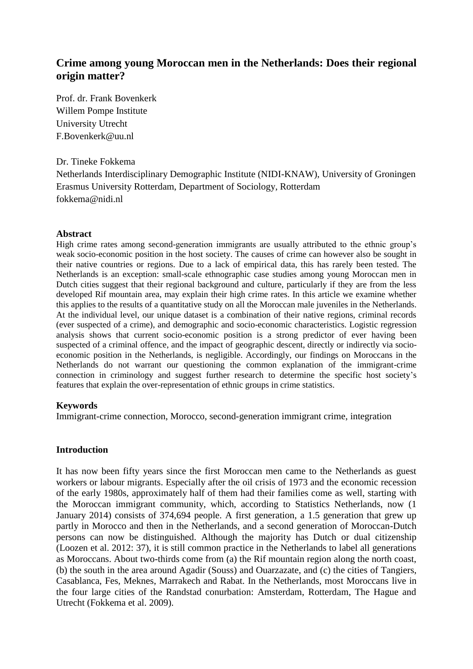# **Crime among young Moroccan men in the Netherlands: Does their regional origin matter?**

Prof. dr. Frank Bovenkerk Willem Pompe Institute University Utrecht F.Bovenkerk@uu.nl

# Dr. Tineke Fokkema

Netherlands Interdisciplinary Demographic Institute (NIDI-KNAW), University of Groningen Erasmus University Rotterdam, Department of Sociology, Rotterdam fokkema@nidi.nl

# **Abstract**

High crime rates among second-generation immigrants are usually attributed to the ethnic group's weak socio-economic position in the host society. The causes of crime can however also be sought in their native countries or regions. Due to a lack of empirical data, this has rarely been tested. The Netherlands is an exception: small-scale ethnographic case studies among young Moroccan men in Dutch cities suggest that their regional background and culture, particularly if they are from the less developed Rif mountain area, may explain their high crime rates. In this article we examine whether this applies to the results of a quantitative study on all the Moroccan male juveniles in the Netherlands. At the individual level, our unique dataset is a combination of their native regions, criminal records (ever suspected of a crime), and demographic and socio-economic characteristics. Logistic regression analysis shows that current socio-economic position is a strong predictor of ever having been suspected of a criminal offence, and the impact of geographic descent, directly or indirectly via socioeconomic position in the Netherlands, is negligible. Accordingly, our findings on Moroccans in the Netherlands do not warrant our questioning the common explanation of the immigrant-crime connection in criminology and suggest further research to determine the specific host society's features that explain the over-representation of ethnic groups in crime statistics.

# **Keywords**

Immigrant-crime connection, Morocco, second-generation immigrant crime, integration

# **Introduction**

It has now been fifty years since the first Moroccan men came to the Netherlands as guest workers or labour migrants. Especially after the oil crisis of 1973 and the economic recession of the early 1980s, approximately half of them had their families come as well, starting with the Moroccan immigrant community, which, according to Statistics Netherlands, now (1 January 2014) consists of 374,694 people. A first generation, a 1.5 generation that grew up partly in Morocco and then in the Netherlands, and a second generation of Moroccan-Dutch persons can now be distinguished. Although the majority has Dutch or dual citizenship (Loozen et al. 2012: 37), it is still common practice in the Netherlands to label all generations as Moroccans. About two-thirds come from (a) the Rif mountain region along the north coast, (b) the south in the area around Agadir (Souss) and Ouarzazate, and (c) the cities of Tangiers, Casablanca, Fes, Meknes, Marrakech and Rabat. In the Netherlands, most Moroccans live in the four large cities of the Randstad conurbation: Amsterdam, Rotterdam, The Hague and Utrecht (Fokkema et al. 2009).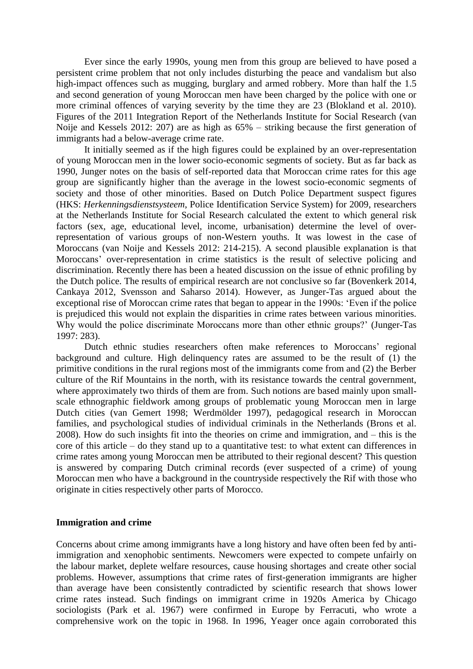Ever since the early 1990s, young men from this group are believed to have posed a persistent crime problem that not only includes disturbing the peace and vandalism but also high-impact offences such as mugging, burglary and armed robbery. More than half the 1.5 and second generation of young Moroccan men have been charged by the police with one or more criminal offences of varying severity by the time they are 23 (Blokland et al. 2010). Figures of the 2011 Integration Report of the Netherlands Institute for Social Research (van Noije and Kessels 2012: 207) are as high as 65% – striking because the first generation of immigrants had a below-average crime rate.

It initially seemed as if the high figures could be explained by an over-representation of young Moroccan men in the lower socio-economic segments of society. But as far back as 1990, Junger notes on the basis of self-reported data that Moroccan crime rates for this age group are significantly higher than the average in the lowest socio-economic segments of society and those of other minorities. Based on Dutch Police Department suspect figures (HKS: *Herkenningsdienstsysteem*, Police Identification Service System) for 2009, researchers at the Netherlands Institute for Social Research calculated the extent to which general risk factors (sex, age, educational level, income, urbanisation) determine the level of overrepresentation of various groups of non-Western youths. It was lowest in the case of Moroccans (van Noije and Kessels 2012: 214-215). A second plausible explanation is that Moroccans' over-representation in crime statistics is the result of selective policing and discrimination. Recently there has been a heated discussion on the issue of ethnic profiling by the Dutch police. The results of empirical research are not conclusive so far (Bovenkerk 2014, Cankaya 2012, Svensson and Saharso 2014). However, as Junger-Tas argued about the exceptional rise of Moroccan crime rates that began to appear in the 1990s: 'Even if the police is prejudiced this would not explain the disparities in crime rates between various minorities. Why would the police discriminate Moroccans more than other ethnic groups?' (Junger-Tas 1997: 283).

Dutch ethnic studies researchers often make references to Moroccans' regional background and culture. High delinquency rates are assumed to be the result of (1) the primitive conditions in the rural regions most of the immigrants come from and (2) the Berber culture of the Rif Mountains in the north, with its resistance towards the central government, where approximately two thirds of them are from. Such notions are based mainly upon smallscale ethnographic fieldwork among groups of problematic young Moroccan men in large Dutch cities (van Gemert 1998; Werdmölder 1997), pedagogical research in Moroccan families, and psychological studies of individual criminals in the Netherlands (Brons et al. 2008). How do such insights fit into the theories on crime and immigration, and – this is the core of this article – do they stand up to a quantitative test: to what extent can differences in crime rates among young Moroccan men be attributed to their regional descent? This question is answered by comparing Dutch criminal records (ever suspected of a crime) of young Moroccan men who have a background in the countryside respectively the Rif with those who originate in cities respectively other parts of Morocco.

## **Immigration and crime**

Concerns about crime among immigrants have a long history and have often been fed by antiimmigration and xenophobic sentiments. Newcomers were expected to compete unfairly on the labour market, deplete welfare resources, cause housing shortages and create other social problems. However, assumptions that crime rates of first-generation immigrants are higher than average have been consistently contradicted by scientific research that shows lower crime rates instead. Such findings on immigrant crime in 1920s America by Chicago sociologists (Park et al. 1967) were confirmed in Europe by Ferracuti, who wrote a comprehensive work on the topic in 1968. In 1996, Yeager once again corroborated this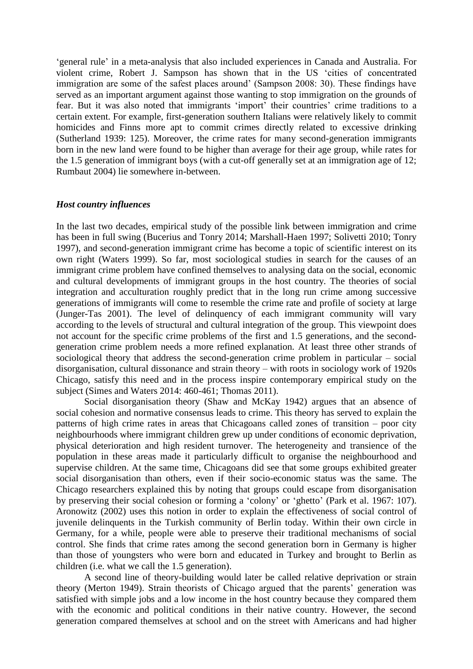'general rule' in a meta-analysis that also included experiences in Canada and Australia. For violent crime, Robert J. Sampson has shown that in the US 'cities of concentrated immigration are some of the safest places around' (Sampson 2008: 30). These findings have served as an important argument against those wanting to stop immigration on the grounds of fear. But it was also noted that immigrants 'import' their countries' crime traditions to a certain extent. For example, first-generation southern Italians were relatively likely to commit homicides and Finns more apt to commit crimes directly related to excessive drinking (Sutherland 1939: 125). Moreover, the crime rates for many second-generation immigrants born in the new land were found to be higher than average for their age group, while rates for the 1.5 generation of immigrant boys (with a cut-off generally set at an immigration age of 12; Rumbaut 2004) lie somewhere in-between.

## *Host country influences*

In the last two decades, empirical study of the possible link between immigration and crime has been in full swing (Bucerius and Tonry 2014; Marshall-Haen 1997; Solivetti 2010; Tonry 1997), and second-generation immigrant crime has become a topic of scientific interest on its own right (Waters 1999). So far, most sociological studies in search for the causes of an immigrant crime problem have confined themselves to analysing data on the social, economic and cultural developments of immigrant groups in the host country. The theories of social integration and acculturation roughly predict that in the long run crime among successive generations of immigrants will come to resemble the crime rate and profile of society at large (Junger-Tas 2001). The level of delinquency of each immigrant community will vary according to the levels of structural and cultural integration of the group. This viewpoint does not account for the specific crime problems of the first and 1.5 generations, and the secondgeneration crime problem needs a more refined explanation. At least three other strands of sociological theory that address the second-generation crime problem in particular – social disorganisation, cultural dissonance and strain theory – with roots in sociology work of 1920s Chicago, satisfy this need and in the process inspire contemporary empirical study on the subject (Simes and Waters 2014: 460-461; Thomas 2011).

Social disorganisation theory (Shaw and McKay 1942) argues that an absence of social cohesion and normative consensus leads to crime. This theory has served to explain the patterns of high crime rates in areas that Chicagoans called zones of transition – poor city neighbourhoods where immigrant children grew up under conditions of economic deprivation, physical deterioration and high resident turnover. The heterogeneity and transience of the population in these areas made it particularly difficult to organise the neighbourhood and supervise children. At the same time, Chicagoans did see that some groups exhibited greater social disorganisation than others, even if their socio-economic status was the same. The Chicago researchers explained this by noting that groups could escape from disorganisation by preserving their social cohesion or forming a 'colony' or 'ghetto' (Park et al. 1967: 107). Aronowitz (2002) uses this notion in order to explain the effectiveness of social control of juvenile delinquents in the Turkish community of Berlin today. Within their own circle in Germany, for a while, people were able to preserve their traditional mechanisms of social control. She finds that crime rates among the second generation born in Germany is higher than those of youngsters who were born and educated in Turkey and brought to Berlin as children (i.e. what we call the 1.5 generation).

A second line of theory-building would later be called relative deprivation or strain theory (Merton 1949). Strain theorists of Chicago argued that the parents' generation was satisfied with simple jobs and a low income in the host country because they compared them with the economic and political conditions in their native country. However, the second generation compared themselves at school and on the street with Americans and had higher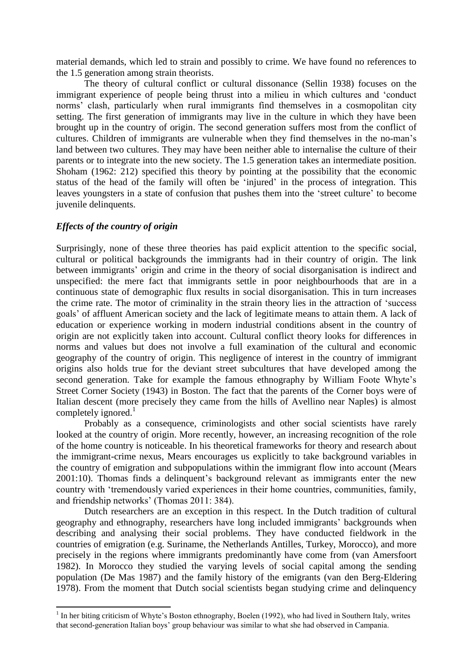material demands, which led to strain and possibly to crime. We have found no references to the 1.5 generation among strain theorists.

The theory of cultural conflict or cultural dissonance (Sellin 1938) focuses on the immigrant experience of people being thrust into a milieu in which cultures and 'conduct norms' clash, particularly when rural immigrants find themselves in a cosmopolitan city setting. The first generation of immigrants may live in the culture in which they have been brought up in the country of origin. The second generation suffers most from the conflict of cultures. Children of immigrants are vulnerable when they find themselves in the no-man's land between two cultures. They may have been neither able to internalise the culture of their parents or to integrate into the new society. The 1.5 generation takes an intermediate position. Shoham (1962: 212) specified this theory by pointing at the possibility that the economic status of the head of the family will often be 'injured' in the process of integration. This leaves youngsters in a state of confusion that pushes them into the 'street culture' to become juvenile delinquents.

## *Effects of the country of origin*

**.** 

Surprisingly, none of these three theories has paid explicit attention to the specific social, cultural or political backgrounds the immigrants had in their country of origin. The link between immigrants' origin and crime in the theory of social disorganisation is indirect and unspecified: the mere fact that immigrants settle in poor neighbourhoods that are in a continuous state of demographic flux results in social disorganisation. This in turn increases the crime rate. The motor of criminality in the strain theory lies in the attraction of 'success goals' of affluent American society and the lack of legitimate means to attain them. A lack of education or experience working in modern industrial conditions absent in the country of origin are not explicitly taken into account. Cultural conflict theory looks for differences in norms and values but does not involve a full examination of the cultural and economic geography of the country of origin. This negligence of interest in the country of immigrant origins also holds true for the deviant street subcultures that have developed among the second generation. Take for example the famous ethnography by William Foote Whyte's Street Corner Society (1943) in Boston. The fact that the parents of the Corner boys were of Italian descent (more precisely they came from the hills of Avellino near Naples) is almost completely ignored.<sup>1</sup>

Probably as a consequence, criminologists and other social scientists have rarely looked at the country of origin. More recently, however, an increasing recognition of the role of the home country is noticeable. In his theoretical frameworks for theory and research about the immigrant-crime nexus, Mears encourages us explicitly to take background variables in the country of emigration and subpopulations within the immigrant flow into account (Mears 2001:10). Thomas finds a delinquent's background relevant as immigrants enter the new country with 'tremendously varied experiences in their home countries, communities, family, and friendship networks' (Thomas 2011: 384).

Dutch researchers are an exception in this respect. In the Dutch tradition of cultural geography and ethnography, researchers have long included immigrants' backgrounds when describing and analysing their social problems. They have conducted fieldwork in the countries of emigration (e.g. Suriname, the Netherlands Antilles, Turkey, Morocco), and more precisely in the regions where immigrants predominantly have come from (van Amersfoort 1982). In Morocco they studied the varying levels of social capital among the sending population (De Mas 1987) and the family history of the emigrants (van den Berg-Eldering 1978). From the moment that Dutch social scientists began studying crime and delinquency

<sup>&</sup>lt;sup>1</sup> In her biting criticism of Whyte's Boston ethnography, Boelen (1992), who had lived in Southern Italy, writes that second-generation Italian boys' group behaviour was similar to what she had observed in Campania.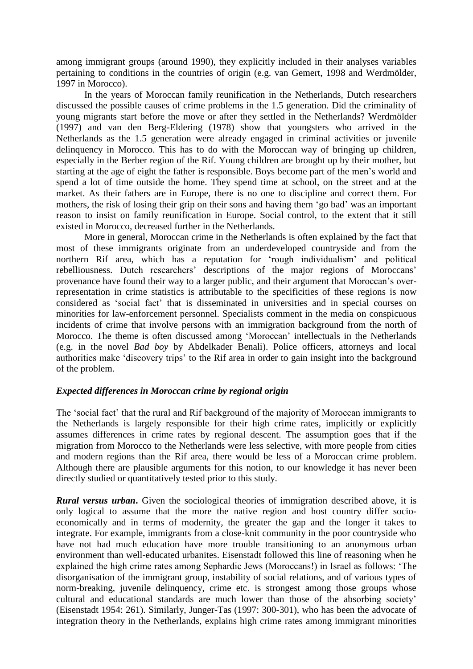among immigrant groups (around 1990), they explicitly included in their analyses variables pertaining to conditions in the countries of origin (e.g. van Gemert, 1998 and Werdmölder, 1997 in Morocco).

In the years of Moroccan family reunification in the Netherlands, Dutch researchers discussed the possible causes of crime problems in the 1.5 generation. Did the criminality of young migrants start before the move or after they settled in the Netherlands? Werdmölder (1997) and van den Berg-Eldering (1978) show that youngsters who arrived in the Netherlands as the 1.5 generation were already engaged in criminal activities or juvenile delinquency in Morocco. This has to do with the Moroccan way of bringing up children, especially in the Berber region of the Rif. Young children are brought up by their mother, but starting at the age of eight the father is responsible. Boys become part of the men's world and spend a lot of time outside the home. They spend time at school, on the street and at the market. As their fathers are in Europe, there is no one to discipline and correct them. For mothers, the risk of losing their grip on their sons and having them 'go bad' was an important reason to insist on family reunification in Europe. Social control, to the extent that it still existed in Morocco, decreased further in the Netherlands.

More in general, Moroccan crime in the Netherlands is often explained by the fact that most of these immigrants originate from an underdeveloped countryside and from the northern Rif area, which has a reputation for 'rough individualism' and political rebelliousness. Dutch researchers' descriptions of the major regions of Moroccans' provenance have found their way to a larger public, and their argument that Moroccan's overrepresentation in crime statistics is attributable to the specificities of these regions is now considered as 'social fact' that is disseminated in universities and in special courses on minorities for law-enforcement personnel. Specialists comment in the media on conspicuous incidents of crime that involve persons with an immigration background from the north of Morocco. The theme is often discussed among 'Moroccan' intellectuals in the Netherlands (e.g. in the novel *Bad boy* by Abdelkader Benali). Police officers, attorneys and local authorities make 'discovery trips' to the Rif area in order to gain insight into the background of the problem.

# *Expected differences in Moroccan crime by regional origin*

The 'social fact' that the rural and Rif background of the majority of Moroccan immigrants to the Netherlands is largely responsible for their high crime rates, implicitly or explicitly assumes differences in crime rates by regional descent. The assumption goes that if the migration from Morocco to the Netherlands were less selective, with more people from cities and modern regions than the Rif area, there would be less of a Moroccan crime problem. Although there are plausible arguments for this notion, to our knowledge it has never been directly studied or quantitatively tested prior to this study.

*Rural versus urban***.** Given the sociological theories of immigration described above, it is only logical to assume that the more the native region and host country differ socioeconomically and in terms of modernity, the greater the gap and the longer it takes to integrate. For example, immigrants from a close-knit community in the poor countryside who have not had much education have more trouble transitioning to an anonymous urban environment than well-educated urbanites. Eisenstadt followed this line of reasoning when he explained the high crime rates among Sephardic Jews (Moroccans!) in Israel as follows: 'The disorganisation of the immigrant group, instability of social relations, and of various types of norm-breaking, juvenile delinquency, crime etc. is strongest among those groups whose cultural and educational standards are much lower than those of the absorbing society' (Eisenstadt 1954: 261). Similarly, Junger-Tas (1997: 300-301), who has been the advocate of integration theory in the Netherlands, explains high crime rates among immigrant minorities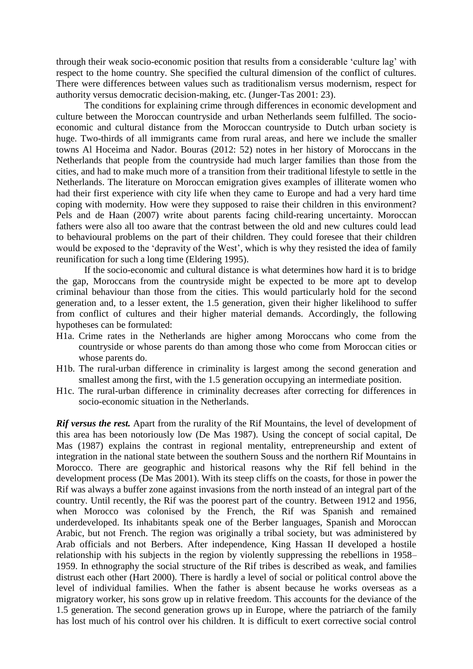through their weak socio-economic position that results from a considerable 'culture lag' with respect to the home country. She specified the cultural dimension of the conflict of cultures. There were differences between values such as traditionalism versus modernism, respect for authority versus democratic decision-making, etc. (Junger-Tas 2001: 23).

The conditions for explaining crime through differences in economic development and culture between the Moroccan countryside and urban Netherlands seem fulfilled. The socioeconomic and cultural distance from the Moroccan countryside to Dutch urban society is huge. Two-thirds of all immigrants came from rural areas, and here we include the smaller towns Al Hoceima and Nador. Bouras (2012: 52) notes in her history of Moroccans in the Netherlands that people from the countryside had much larger families than those from the cities, and had to make much more of a transition from their traditional lifestyle to settle in the Netherlands. The literature on Moroccan emigration gives examples of illiterate women who had their first experience with city life when they came to Europe and had a very hard time coping with modernity. How were they supposed to raise their children in this environment? Pels and de Haan (2007) write about parents facing child-rearing uncertainty. Moroccan fathers were also all too aware that the contrast between the old and new cultures could lead to behavioural problems on the part of their children. They could foresee that their children would be exposed to the 'depravity of the West', which is why they resisted the idea of family reunification for such a long time (Eldering 1995).

If the socio-economic and cultural distance is what determines how hard it is to bridge the gap, Moroccans from the countryside might be expected to be more apt to develop criminal behaviour than those from the cities. This would particularly hold for the second generation and, to a lesser extent, the 1.5 generation, given their higher likelihood to suffer from conflict of cultures and their higher material demands. Accordingly, the following hypotheses can be formulated:

- H1a. Crime rates in the Netherlands are higher among Moroccans who come from the countryside or whose parents do than among those who come from Moroccan cities or whose parents do.
- H1b. The rural-urban difference in criminality is largest among the second generation and smallest among the first, with the 1.5 generation occupying an intermediate position.
- H1c. The rural-urban difference in criminality decreases after correcting for differences in socio-economic situation in the Netherlands.

*Rif versus the rest.* Apart from the rurality of the Rif Mountains, the level of development of this area has been notoriously low (De Mas 1987). Using the concept of social capital, De Mas (1987) explains the contrast in regional mentality, entrepreneurship and extent of integration in the national state between the southern Souss and the northern Rif Mountains in Morocco. There are geographic and historical reasons why the Rif fell behind in the development process (De Mas 2001). With its steep cliffs on the coasts, for those in power the Rif was always a buffer zone against invasions from the north instead of an integral part of the country. Until recently, the Rif was the poorest part of the country. Between 1912 and 1956, when Morocco was colonised by the French, the Rif was Spanish and remained underdeveloped. Its inhabitants speak one of the Berber languages, Spanish and Moroccan Arabic, but not French. The region was originally a tribal society, but was administered by Arab officials and not Berbers. After independence, King Hassan II developed a hostile relationship with his subjects in the region by violently suppressing the rebellions in 1958– 1959. In ethnography the social structure of the Rif tribes is described as weak, and families distrust each other (Hart 2000). There is hardly a level of social or political control above the level of individual families. When the father is absent because he works overseas as a migratory worker, his sons grow up in relative freedom. This accounts for the deviance of the 1.5 generation. The second generation grows up in Europe, where the patriarch of the family has lost much of his control over his children. It is difficult to exert corrective social control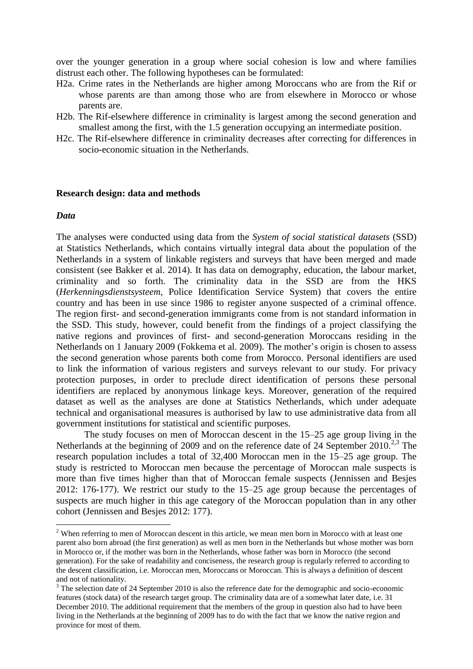over the younger generation in a group where social cohesion is low and where families distrust each other. The following hypotheses can be formulated:

- H2a. Crime rates in the Netherlands are higher among Moroccans who are from the Rif or whose parents are than among those who are from elsewhere in Morocco or whose parents are.
- H2b. The Rif-elsewhere difference in criminality is largest among the second generation and smallest among the first, with the 1.5 generation occupying an intermediate position.
- H2c. The Rif-elsewhere difference in criminality decreases after correcting for differences in socio-economic situation in the Netherlands.

#### **Research design: data and methods**

#### *Data*

 $\overline{a}$ 

The analyses were conducted using data from the *System of social statistical datasets* (SSD) at Statistics Netherlands, which contains virtually integral data about the population of the Netherlands in a system of linkable registers and surveys that have been merged and made consistent (see Bakker et al. 2014). It has data on demography, education, the labour market, criminality and so forth. The criminality data in the SSD are from the HKS (*Herkenningsdienstsysteem*, Police Identification Service System) that covers the entire country and has been in use since 1986 to register anyone suspected of a criminal offence. The region first- and second-generation immigrants come from is not standard information in the SSD. This study, however, could benefit from the findings of a project classifying the native regions and provinces of first- and second-generation Moroccans residing in the Netherlands on 1 January 2009 (Fokkema et al. 2009). The mother's origin is chosen to assess the second generation whose parents both come from Morocco. Personal identifiers are used to link the information of various registers and surveys relevant to our study. For privacy protection purposes, in order to preclude direct identification of persons these personal identifiers are replaced by anonymous linkage keys. Moreover, generation of the required dataset as well as the analyses are done at Statistics Netherlands, which under adequate technical and organisational measures is authorised by law to use administrative data from all government institutions for statistical and scientific purposes.

The study focuses on men of Moroccan descent in the 15–25 age group living in the Netherlands at the beginning of 2009 and on the reference date of 24 September  $2010<sup>2,3</sup>$  The research population includes a total of 32,400 Moroccan men in the 15–25 age group. The study is restricted to Moroccan men because the percentage of Moroccan male suspects is more than five times higher than that of Moroccan female suspects (Jennissen and Besjes 2012: 176-177). We restrict our study to the 15–25 age group because the percentages of suspects are much higher in this age category of the Moroccan population than in any other cohort (Jennissen and Besjes 2012: 177).

<sup>&</sup>lt;sup>2</sup> When referring to men of Moroccan descent in this article, we mean men born in Morocco with at least one parent also born abroad (the first generation) as well as men born in the Netherlands but whose mother was born in Morocco or, if the mother was born in the Netherlands, whose father was born in Morocco (the second generation). For the sake of readability and conciseness, the research group is regularly referred to according to the descent classification, i.e. Moroccan men, Moroccans or Moroccan. This is always a definition of descent and not of nationality.

<sup>&</sup>lt;sup>3</sup> The selection date of 24 September 2010 is also the reference date for the demographic and socio-economic features (stock data) of the research target group. The criminality data are of a somewhat later date, i.e. 31 December 2010. The additional requirement that the members of the group in question also had to have been living in the Netherlands at the beginning of 2009 has to do with the fact that we know the native region and province for most of them.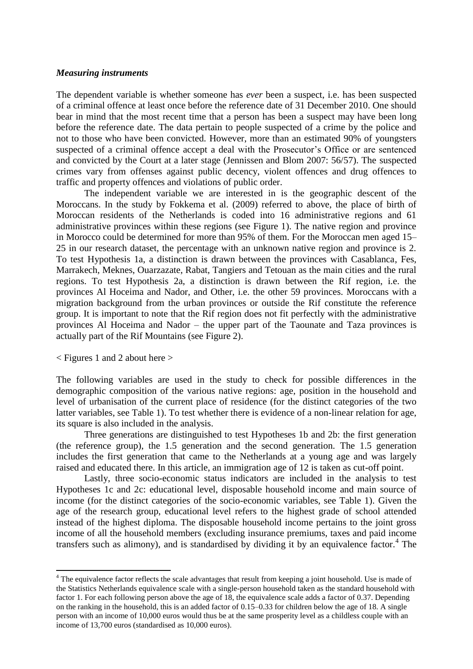## *Measuring instruments*

The dependent variable is whether someone has *ever* been a suspect, i.e. has been suspected of a criminal offence at least once before the reference date of 31 December 2010. One should bear in mind that the most recent time that a person has been a suspect may have been long before the reference date. The data pertain to people suspected of a crime by the police and not to those who have been convicted. However, more than an estimated 90% of youngsters suspected of a criminal offence accept a deal with the Prosecutor's Office or are sentenced and convicted by the Court at a later stage (Jennissen and Blom 2007: 56/57). The suspected crimes vary from offenses against public decency, violent offences and drug offences to traffic and property offences and violations of public order.

The independent variable we are interested in is the geographic descent of the Moroccans. In the study by Fokkema et al. (2009) referred to above, the place of birth of Moroccan residents of the Netherlands is coded into 16 administrative regions and 61 administrative provinces within these regions (see Figure 1). The native region and province in Morocco could be determined for more than 95% of them. For the Moroccan men aged 15– 25 in our research dataset, the percentage with an unknown native region and province is 2. To test Hypothesis 1a, a distinction is drawn between the provinces with Casablanca, Fes, Marrakech, Meknes, Ouarzazate, Rabat, Tangiers and Tetouan as the main cities and the rural regions. To test Hypothesis 2a, a distinction is drawn between the Rif region, i.e. the provinces Al Hoceima and Nador, and Other, i.e. the other 59 provinces. Moroccans with a migration background from the urban provinces or outside the Rif constitute the reference group. It is important to note that the Rif region does not fit perfectly with the administrative provinces Al Hoceima and Nador – the upper part of the Taounate and Taza provinces is actually part of the Rif Mountains (see Figure 2).

< Figures 1 and 2 about here >

**.** 

The following variables are used in the study to check for possible differences in the demographic composition of the various native regions: age, position in the household and level of urbanisation of the current place of residence (for the distinct categories of the two latter variables, see Table 1). To test whether there is evidence of a non-linear relation for age, its square is also included in the analysis.

Three generations are distinguished to test Hypotheses 1b and 2b: the first generation (the reference group), the 1.5 generation and the second generation. The 1.5 generation includes the first generation that came to the Netherlands at a young age and was largely raised and educated there. In this article, an immigration age of 12 is taken as cut-off point.

Lastly, three socio-economic status indicators are included in the analysis to test Hypotheses 1c and 2c: educational level, disposable household income and main source of income (for the distinct categories of the socio-economic variables, see Table 1). Given the age of the research group, educational level refers to the highest grade of school attended instead of the highest diploma. The disposable household income pertains to the joint gross income of all the household members (excluding insurance premiums, taxes and paid income transfers such as alimony), and is standardised by dividing it by an equivalence factor.<sup>4</sup> The

<sup>&</sup>lt;sup>4</sup> The equivalence factor reflects the scale advantages that result from keeping a joint household. Use is made of the Statistics Netherlands equivalence scale with a single-person household taken as the standard household with factor 1. For each following person above the age of 18, the equivalence scale adds a factor of 0.37. Depending on the ranking in the household, this is an added factor of 0.15–0.33 for children below the age of 18. A single person with an income of 10,000 euros would thus be at the same prosperity level as a childless couple with an income of 13,700 euros (standardised as 10,000 euros).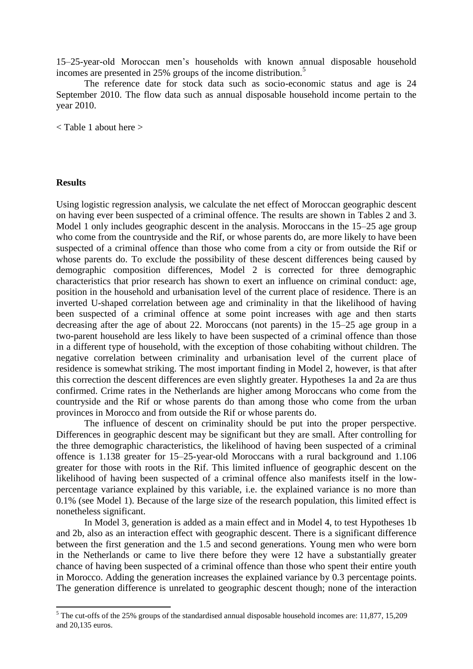15–25-year-old Moroccan men's households with known annual disposable household incomes are presented in 25% groups of the income distribution.<sup>5</sup>

The reference date for stock data such as socio-economic status and age is 24 September 2010. The flow data such as annual disposable household income pertain to the year 2010.

< Table 1 about here >

#### **Results**

**.** 

Using logistic regression analysis, we calculate the net effect of Moroccan geographic descent on having ever been suspected of a criminal offence. The results are shown in Tables 2 and 3. Model 1 only includes geographic descent in the analysis. Moroccans in the 15–25 age group who come from the countryside and the Rif, or whose parents do, are more likely to have been suspected of a criminal offence than those who come from a city or from outside the Rif or whose parents do. To exclude the possibility of these descent differences being caused by demographic composition differences, Model 2 is corrected for three demographic characteristics that prior research has shown to exert an influence on criminal conduct: age, position in the household and urbanisation level of the current place of residence. There is an inverted U-shaped correlation between age and criminality in that the likelihood of having been suspected of a criminal offence at some point increases with age and then starts decreasing after the age of about 22. Moroccans (not parents) in the 15–25 age group in a two-parent household are less likely to have been suspected of a criminal offence than those in a different type of household, with the exception of those cohabiting without children. The negative correlation between criminality and urbanisation level of the current place of residence is somewhat striking. The most important finding in Model 2, however, is that after this correction the descent differences are even slightly greater. Hypotheses 1a and 2a are thus confirmed. Crime rates in the Netherlands are higher among Moroccans who come from the countryside and the Rif or whose parents do than among those who come from the urban provinces in Morocco and from outside the Rif or whose parents do.

The influence of descent on criminality should be put into the proper perspective. Differences in geographic descent may be significant but they are small. After controlling for the three demographic characteristics, the likelihood of having been suspected of a criminal offence is 1.138 greater for 15–25-year-old Moroccans with a rural background and 1.106 greater for those with roots in the Rif. This limited influence of geographic descent on the likelihood of having been suspected of a criminal offence also manifests itself in the lowpercentage variance explained by this variable, i.e. the explained variance is no more than 0.1% (see Model 1). Because of the large size of the research population, this limited effect is nonetheless significant.

In Model 3, generation is added as a main effect and in Model 4, to test Hypotheses 1b and 2b, also as an interaction effect with geographic descent. There is a significant difference between the first generation and the 1.5 and second generations. Young men who were born in the Netherlands or came to live there before they were 12 have a substantially greater chance of having been suspected of a criminal offence than those who spent their entire youth in Morocco. Adding the generation increases the explained variance by 0.3 percentage points. The generation difference is unrelated to geographic descent though; none of the interaction

<sup>&</sup>lt;sup>5</sup> The cut-offs of the 25% groups of the standardised annual disposable household incomes are: 11,877, 15,209 and 20,135 euros.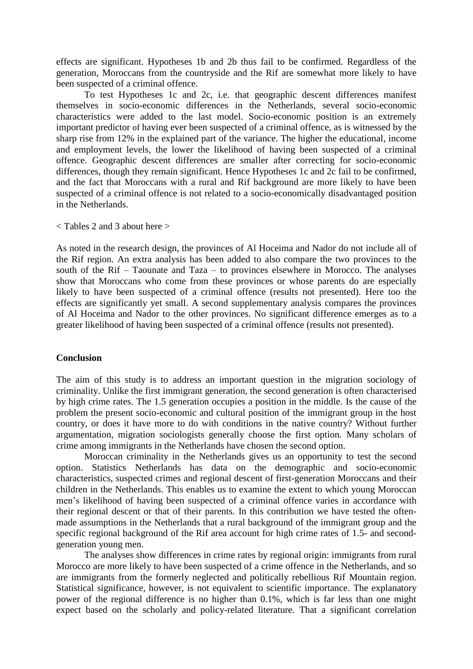effects are significant. Hypotheses 1b and 2b thus fail to be confirmed. Regardless of the generation, Moroccans from the countryside and the Rif are somewhat more likely to have been suspected of a criminal offence.

To test Hypotheses 1c and 2c, i.e. that geographic descent differences manifest themselves in socio-economic differences in the Netherlands, several socio-economic characteristics were added to the last model. Socio-economic position is an extremely important predictor of having ever been suspected of a criminal offence, as is witnessed by the sharp rise from 12% in the explained part of the variance. The higher the educational, income and employment levels, the lower the likelihood of having been suspected of a criminal offence. Geographic descent differences are smaller after correcting for socio-economic differences, though they remain significant. Hence Hypotheses 1c and 2c fail to be confirmed, and the fact that Moroccans with a rural and Rif background are more likely to have been suspected of a criminal offence is not related to a socio-economically disadvantaged position in the Netherlands.

< Tables 2 and 3 about here >

As noted in the research design, the provinces of Al Hoceima and Nador do not include all of the Rif region. An extra analysis has been added to also compare the two provinces to the south of the Rif – Taounate and Taza – to provinces elsewhere in Morocco. The analyses show that Moroccans who come from these provinces or whose parents do are especially likely to have been suspected of a criminal offence (results not presented). Here too the effects are significantly yet small. A second supplementary analysis compares the provinces of Al Hoceima and Nador to the other provinces. No significant difference emerges as to a greater likelihood of having been suspected of a criminal offence (results not presented).

## **Conclusion**

The aim of this study is to address an important question in the migration sociology of criminality. Unlike the first immigrant generation, the second generation is often characterised by high crime rates. The 1.5 generation occupies a position in the middle. Is the cause of the problem the present socio-economic and cultural position of the immigrant group in the host country, or does it have more to do with conditions in the native country? Without further argumentation, migration sociologists generally choose the first option. Many scholars of crime among immigrants in the Netherlands have chosen the second option.

Moroccan criminality in the Netherlands gives us an opportunity to test the second option. Statistics Netherlands has data on the demographic and socio-economic characteristics, suspected crimes and regional descent of first-generation Moroccans and their children in the Netherlands. This enables us to examine the extent to which young Moroccan men's likelihood of having been suspected of a criminal offence varies in accordance with their regional descent or that of their parents. In this contribution we have tested the oftenmade assumptions in the Netherlands that a rural background of the immigrant group and the specific regional background of the Rif area account for high crime rates of 1.5- and secondgeneration young men.

The analyses show differences in crime rates by regional origin: immigrants from rural Morocco are more likely to have been suspected of a crime offence in the Netherlands, and so are immigrants from the formerly neglected and politically rebellious Rif Mountain region. Statistical significance, however, is not equivalent to scientific importance. The explanatory power of the regional difference is no higher than 0.1%, which is far less than one might expect based on the scholarly and policy-related literature. That a significant correlation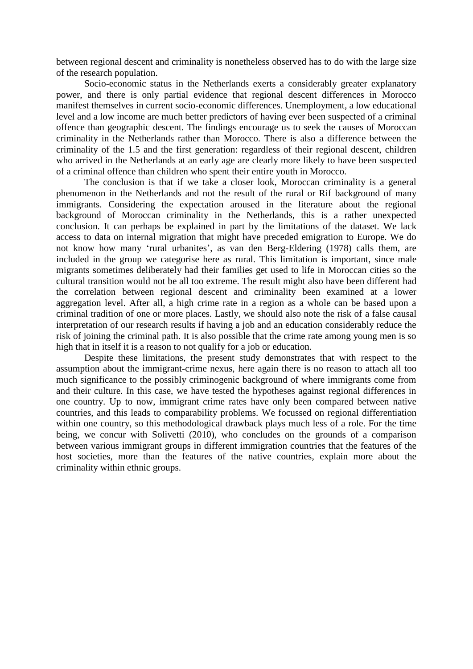between regional descent and criminality is nonetheless observed has to do with the large size of the research population.

Socio-economic status in the Netherlands exerts a considerably greater explanatory power, and there is only partial evidence that regional descent differences in Morocco manifest themselves in current socio-economic differences. Unemployment, a low educational level and a low income are much better predictors of having ever been suspected of a criminal offence than geographic descent. The findings encourage us to seek the causes of Moroccan criminality in the Netherlands rather than Morocco. There is also a difference between the criminality of the 1.5 and the first generation: regardless of their regional descent, children who arrived in the Netherlands at an early age are clearly more likely to have been suspected of a criminal offence than children who spent their entire youth in Morocco.

The conclusion is that if we take a closer look, Moroccan criminality is a general phenomenon in the Netherlands and not the result of the rural or Rif background of many immigrants. Considering the expectation aroused in the literature about the regional background of Moroccan criminality in the Netherlands, this is a rather unexpected conclusion. It can perhaps be explained in part by the limitations of the dataset. We lack access to data on internal migration that might have preceded emigration to Europe. We do not know how many 'rural urbanites', as van den Berg-Eldering (1978) calls them, are included in the group we categorise here as rural. This limitation is important, since male migrants sometimes deliberately had their families get used to life in Moroccan cities so the cultural transition would not be all too extreme. The result might also have been different had the correlation between regional descent and criminality been examined at a lower aggregation level. After all, a high crime rate in a region as a whole can be based upon a criminal tradition of one or more places. Lastly, we should also note the risk of a false causal interpretation of our research results if having a job and an education considerably reduce the risk of joining the criminal path. It is also possible that the crime rate among young men is so high that in itself it is a reason to not qualify for a job or education.

Despite these limitations, the present study demonstrates that with respect to the assumption about the immigrant-crime nexus, here again there is no reason to attach all too much significance to the possibly criminogenic background of where immigrants come from and their culture. In this case, we have tested the hypotheses against regional differences in one country. Up to now, immigrant crime rates have only been compared between native countries, and this leads to comparability problems. We focussed on regional differentiation within one country, so this methodological drawback plays much less of a role. For the time being, we concur with Solivetti (2010), who concludes on the grounds of a comparison between various immigrant groups in different immigration countries that the features of the host societies, more than the features of the native countries, explain more about the criminality within ethnic groups.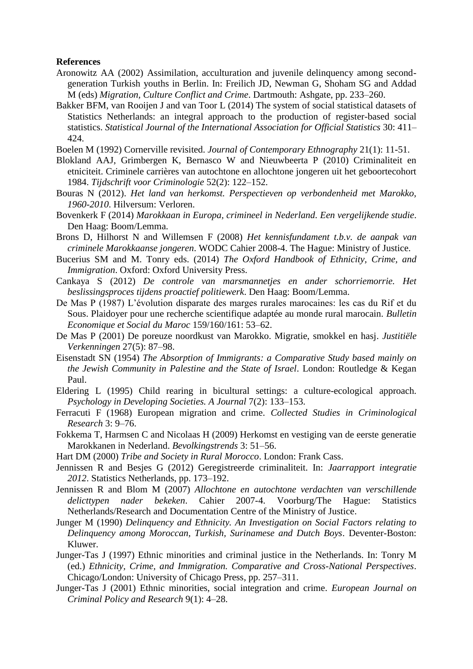## **References**

- Aronowitz AA (2002) Assimilation, acculturation and juvenile delinquency among secondgeneration Turkish youths in Berlin. In: Freilich JD, Newman G, Shoham SG and Addad M (eds) *Migration, Culture Conflict and Crime*. Dartmouth: Ashgate, pp. 233–260.
- Bakker BFM, van Rooijen J and van Toor L (2014) The system of social statistical datasets of Statistics Netherlands: an integral approach to the production of register-based social statistics. *Statistical Journal of the International Association for Official Statistics* 30: 411– 424.
- Boelen M (1992) Cornerville revisited. *Journal of Contemporary Ethnography* 21(1): 11-51.
- Blokland AAJ, Grimbergen K, Bernasco W and Nieuwbeerta P (2010) Criminaliteit en etniciteit. Criminele carrières van autochtone en allochtone jongeren uit het geboortecohort 1984. *Tijdschrift voor Criminologie* 52(2): 122–152.
- Bouras N (2012). *Het land van herkomst. Perspectieven op verbondenheid met Marokko, 1960-2010*. Hilversum: Verloren.
- Bovenkerk F (2014) *Marokkaan in Europa, crimineel in Nederland. Een vergelijkende studie*. Den Haag: Boom/Lemma.
- Brons D, Hilhorst N and Willemsen F (2008) *Het kennisfundament t.b.v. de aanpak van criminele Marokkaanse jongeren*. WODC Cahier 2008-4. The Hague: Ministry of Justice.
- Bucerius SM and M. Tonry eds. (2014) *The Oxford Handbook of Ethnicity, Crime, and Immigration*. Oxford: Oxford University Press.
- Cankaya S (2012) *De controle van marsmannetjes en ander schorriemorrie. Het beslissingsproces tijdens proactief politiewerk*. Den Haag: Boom/Lemma.
- De Mas P (1987) L'évolution disparate des marges rurales marocaines: les cas du Rif et du Sous. Plaidoyer pour une recherche scientifique adaptée au monde rural marocain. *Bulletin Economique et Social du Maroc* 159/160/161: 53–62.
- De Mas P (2001) De poreuze noordkust van Marokko. Migratie, smokkel en hasj. *Justitiële Verkenningen* 27(5): 87–98.
- Eisenstadt SN (1954) *The Absorption of Immigrants: a Comparative Study based mainly on the Jewish Community in Palestine and the State of Israel*. London: Routledge & Kegan Paul.
- Eldering L (1995) Child rearing in bicultural settings: a culture-ecological approach. *Psychology in Developing Societies. A Journal* 7(2): 133–153.
- Ferracuti F (1968) European migration and crime. *Collected Studies in Criminological Research* 3: 9–76.
- Fokkema T, Harmsen C and Nicolaas H (2009) Herkomst en vestiging van de eerste generatie Marokkanen in Nederland. *Bevolkingstrends* 3: 51–56.
- Hart DM (2000) *Tribe and Society in Rural Morocco*. London: Frank Cass.
- Jennissen R and Besjes G (2012) Geregistreerde criminaliteit. In: *Jaarrapport integratie 2012*. Statistics Netherlands, pp. 173–192.
- Jennissen R and Blom M (2007) *Allochtone en autochtone verdachten van verschillende delicttypen nader bekeken*. Cahier 2007-4. Voorburg/The Hague: Statistics Netherlands/Research and Documentation Centre of the Ministry of Justice.
- Junger M (1990) *Delinquency and Ethnicity. An Investigation on Social Factors relating to Delinquency among Moroccan, Turkish, Surinamese and Dutch Boys*. Deventer-Boston: Kluwer.
- Junger-Tas J (1997) Ethnic minorities and criminal justice in the Netherlands. In: Tonry M (ed.) *Ethnicity, Crime, and Immigration. Comparative and Cross-National Perspectives*. Chicago/London: University of Chicago Press, pp. 257–311.
- Junger-Tas J (2001) Ethnic minorities, social integration and crime. *European Journal on Criminal Policy and Research* 9(1): 4–28.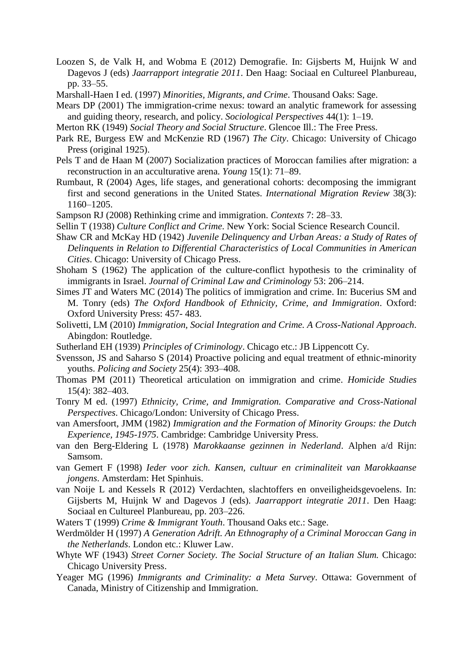- Loozen S, de Valk H, and Wobma E (2012) Demografie. In: Gijsberts M, Huijnk W and Dagevos J (eds) *Jaarrapport integratie 2011*. Den Haag: Sociaal en Cultureel Planbureau, pp. 33–55.
- Marshall-Haen I ed. (1997) *Minorities, Migrants, and Crime*. Thousand Oaks: Sage.
- Mears DP (2001) The immigration-crime nexus: toward an analytic framework for assessing and guiding theory, research, and policy. *Sociological Perspectives* 44(1): 1–19.
- Merton RK (1949) *Social Theory and Social Structure*. Glencoe Ill.: The Free Press.
- Park RE, Burgess EW and McKenzie RD (1967) *The City*. Chicago: University of Chicago Press (original 1925).
- Pels T and de Haan M (2007) Socialization practices of Moroccan families after migration: a reconstruction in an acculturative arena. *Young* 15(1): 71–89.
- Rumbaut, R (2004) Ages, life stages, and generational cohorts: decomposing the immigrant first and second generations in the United States. *International Migration Review* 38(3): 1160–1205.
- Sampson RJ (2008) Rethinking crime and immigration. *Contexts* 7: 28–33.
- Sellin T (1938) *Culture Conflict and Crime*. New York: Social Science Research Council.
- Shaw CR and McKay HD (1942) *Juvenile Delinquency and Urban Areas: a Study of Rates of Delinquents in Relation to Differential Characteristics of Local Communities in American Cities*. Chicago: University of Chicago Press.
- Shoham S (1962) The application of the culture-conflict hypothesis to the criminality of immigrants in Israel. *Journal of Criminal Law and Criminology* 53: 206–214.
- Simes JT and Waters MC (2014) The politics of immigration and crime. In: Bucerius SM and M. Tonry (eds) *The Oxford Handbook of Ethnicity, Crime, and Immigration*. Oxford: Oxford University Press: 457- 483.
- Solivetti, LM (2010) *Immigration, Social Integration and Crime. A Cross-National Approach*. Abingdon: Routledge.
- Sutherland EH (1939) *Principles of Criminology*. Chicago etc.: JB Lippencott Cy.
- Svensson, JS and Saharso S (2014) Proactive policing and equal treatment of ethnic-minority youths. *Policing and Society* 25(4): 393–408.
- Thomas PM (2011) Theoretical articulation on immigration and crime. *Homicide Studies* 15(4): 382–403.
- Tonry M ed. (1997) *Ethnicity, Crime, and Immigration. Comparative and Cross-National Perspectives*. Chicago/London: University of Chicago Press.
- van Amersfoort, JMM (1982) *Immigration and the Formation of Minority Groups: the Dutch Experience, 1945-1975*. Cambridge: Cambridge University Press.
- van den Berg-Eldering L (1978) *Marokkaanse gezinnen in Nederland*. Alphen a/d Rijn: Samsom.
- van Gemert F (1998) *Ieder voor zich. Kansen, cultuur en criminaliteit van Marokkaanse jongens*. Amsterdam: Het Spinhuis.
- van Noije L and Kessels R (2012) Verdachten, slachtoffers en onveiligheidsgevoelens. In: Gijsberts M, Huijnk W and Dagevos J (eds). *Jaarrapport integratie 2011*. Den Haag: Sociaal en Cultureel Planbureau, pp. 203–226.
- Waters T (1999) *Crime & Immigrant Youth*. Thousand Oaks etc.: Sage.
- Werdmölder H (1997) *A Generation Adrift. An Ethnography of a Criminal Moroccan Gang in the Netherlands*. London etc.: Kluwer Law.
- Whyte WF (1943) *Street Corner Society. The Social Structure of an Italian Slum.* Chicago: Chicago University Press.
- Yeager MG (1996) *Immigrants and Criminality: a Meta Survey*. Ottawa: Government of Canada, Ministry of Citizenship and Immigration.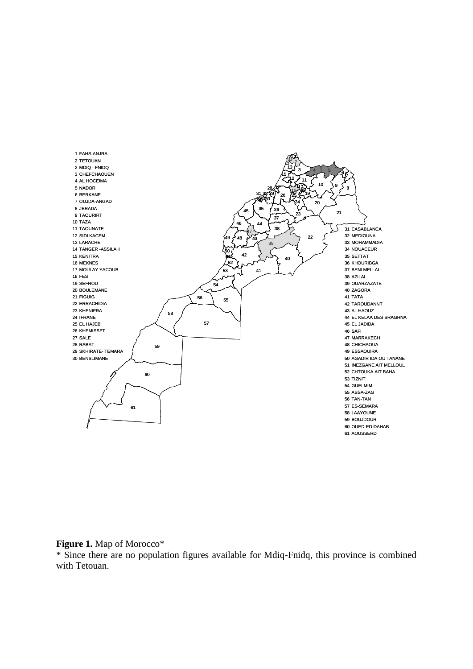

# **Figure 1.** Map of Morocco\*

\* Since there are no population figures available for Mdiq-Fnidq, this province is combined with Tetouan.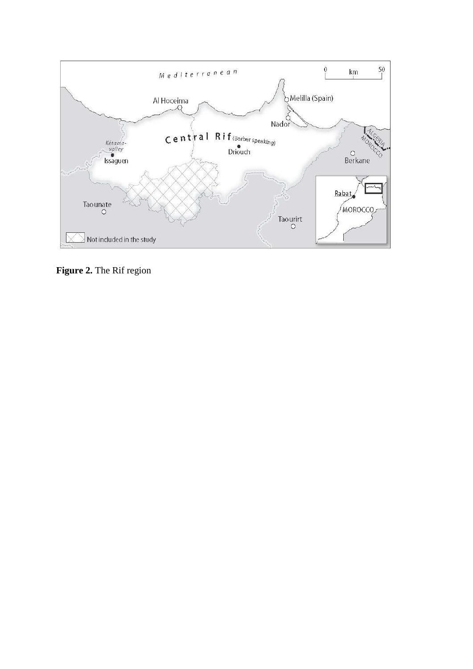

**Figure 2.** The Rif region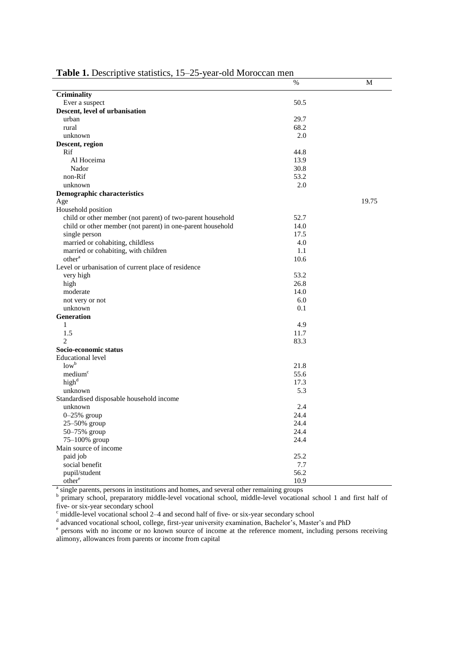| <b>radic 1.</b> Descriptive statistics, 19–29-year-old morocean men                                            |      |       |  |  |  |
|----------------------------------------------------------------------------------------------------------------|------|-------|--|--|--|
|                                                                                                                | %    | М     |  |  |  |
| Criminality                                                                                                    |      |       |  |  |  |
| Ever a suspect                                                                                                 | 50.5 |       |  |  |  |
| Descent, level of urbanisation                                                                                 |      |       |  |  |  |
| urban                                                                                                          | 29.7 |       |  |  |  |
| rural                                                                                                          | 68.2 |       |  |  |  |
| unknown                                                                                                        | 2.0  |       |  |  |  |
| Descent, region                                                                                                |      |       |  |  |  |
| Rif                                                                                                            | 44.8 |       |  |  |  |
| Al Hoceima                                                                                                     | 13.9 |       |  |  |  |
| Nador                                                                                                          | 30.8 |       |  |  |  |
| non-Rif                                                                                                        | 53.2 |       |  |  |  |
| unknown                                                                                                        | 2.0  |       |  |  |  |
| <b>Demographic characteristics</b>                                                                             |      |       |  |  |  |
| Age                                                                                                            |      | 19.75 |  |  |  |
| Household position                                                                                             |      |       |  |  |  |
| child or other member (not parent) of two-parent household                                                     | 52.7 |       |  |  |  |
| child or other member (not parent) in one-parent household                                                     | 14.0 |       |  |  |  |
|                                                                                                                | 17.5 |       |  |  |  |
| single person<br>married or cohabiting, childless                                                              | 4.0  |       |  |  |  |
|                                                                                                                |      |       |  |  |  |
| married or cohabiting, with children                                                                           | 1.1  |       |  |  |  |
| other <sup>a</sup>                                                                                             | 10.6 |       |  |  |  |
| Level or urbanisation of current place of residence                                                            |      |       |  |  |  |
| very high                                                                                                      | 53.2 |       |  |  |  |
| high                                                                                                           | 26.8 |       |  |  |  |
| moderate                                                                                                       | 14.0 |       |  |  |  |
| not very or not                                                                                                | 6.0  |       |  |  |  |
| unknown                                                                                                        | 0.1  |       |  |  |  |
| Generation                                                                                                     |      |       |  |  |  |
| 1                                                                                                              | 4.9  |       |  |  |  |
| 1.5                                                                                                            | 11.7 |       |  |  |  |
| $\overline{c}$                                                                                                 | 83.3 |       |  |  |  |
| Socio-economic status                                                                                          |      |       |  |  |  |
| <b>Educational level</b>                                                                                       |      |       |  |  |  |
| $low^b$                                                                                                        | 21.8 |       |  |  |  |
| medium <sup>c</sup>                                                                                            | 55.6 |       |  |  |  |
| high <sup>d</sup>                                                                                              | 17.3 |       |  |  |  |
| unknown                                                                                                        | 5.3  |       |  |  |  |
| Standardised disposable household income                                                                       |      |       |  |  |  |
| unknown                                                                                                        | 2.4  |       |  |  |  |
| $0-25%$ group                                                                                                  | 24.4 |       |  |  |  |
| 25-50% group                                                                                                   | 24.4 |       |  |  |  |
| 50-75% group                                                                                                   | 24.4 |       |  |  |  |
| 75-100% group                                                                                                  | 24.4 |       |  |  |  |
| Main source of income                                                                                          |      |       |  |  |  |
| paid job                                                                                                       | 25.2 |       |  |  |  |
| social benefit                                                                                                 | 7.7  |       |  |  |  |
| pupil/student                                                                                                  | 56.2 |       |  |  |  |
| other <sup>e</sup>                                                                                             | 10.9 |       |  |  |  |
| <sup>a</sup> single parents, persons in institutions and homes, and several other remaining groups             |      |       |  |  |  |
|                                                                                                                |      |       |  |  |  |
| primary school, preparatory middle-level vocational school, middle-level vocational school 1 and first half of |      |       |  |  |  |

#### **Table 1.** Descriptive statistics, 15–25-year-old Moroccan men

five- or six-year secondary school

 $^{\circ}$  middle-level vocational school 2–4 and second half of five- or six-year secondary school<br>d advanced vocational school, college, first-year university examination, Bachelor's, Master's and PhD<br> $^{\circ}$  persons with no alimony, allowances from parents or income from capital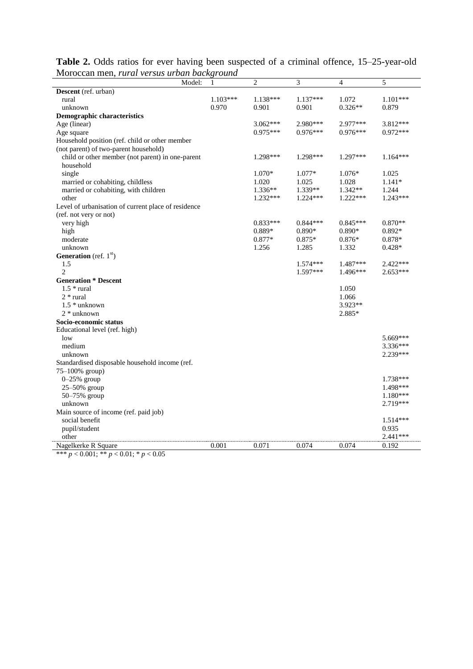| <u>MOIOCCAN MEN, <i>rurat versus urban background</i></u> |            |                |            |            |            |
|-----------------------------------------------------------|------------|----------------|------------|------------|------------|
| Model:                                                    |            | $\overline{2}$ | 3          | 4          | 5          |
| Descent (ref. urban)                                      |            |                |            |            |            |
| rural                                                     | $1.103***$ | 1.138***       | $1.137***$ | 1.072      | $1.101***$ |
| unknown                                                   | 0.970      | 0.901          | 0.901      | $0.326**$  | 0.879      |
| <b>Demographic characteristics</b>                        |            |                |            |            |            |
| Age (linear)                                              |            | $3.062***$     | $2.980***$ | 2.977***   | 3.812***   |
| Age square                                                |            | $0.975***$     | $0.976***$ | $0.976***$ | $0.972***$ |
| Household position (ref. child or other member            |            |                |            |            |            |
| (not parent) of two-parent household)                     |            |                |            |            |            |
| child or other member (not parent) in one-parent          |            | 1.298***       | 1.298***   | 1.297***   | $1.164***$ |
| household                                                 |            |                |            |            |            |
| single                                                    |            | $1.070*$       | $1.077*$   | $1.076*$   | 1.025      |
| married or cohabiting, childless                          |            | 1.020          | 1.025      | 1.028      | $1.141*$   |
| married or cohabiting, with children                      |            | 1.336**        | 1.339**    | $1.342**$  | 1.244      |
| other                                                     |            | 1.232***       | $1.224***$ | $1.222***$ | $1.243***$ |
| Level of urbanisation of current place of residence       |            |                |            |            |            |
| (ref. not very or not)                                    |            |                |            |            |            |
| very high                                                 |            | $0.833***$     | $0.844***$ | $0.845***$ | $0.870**$  |
| high                                                      |            | 0.889*         | $0.890*$   | $0.890*$   | $0.892*$   |
| moderate                                                  |            | $0.877*$       | $0.875*$   | $0.876*$   | $0.878*$   |
| unknown                                                   |            | 1.256          | 1.285      | 1.332      | $0.428*$   |
| <b>Generation</b> (ref. $1st$ )                           |            |                |            |            |            |
| 1.5                                                       |            |                | $1.574***$ | 1.487***   | 2.422***   |
| $\overline{c}$                                            |            |                | $1.597***$ | 1.496***   | $2.653***$ |
| <b>Generation * Descent</b>                               |            |                |            |            |            |
| $1.5*$ rural                                              |            |                |            | 1.050      |            |
| $2 * rural$                                               |            |                |            | 1.066      |            |
| $1.5*$ unknown                                            |            |                |            | 3.923**    |            |
| 2 * unknown                                               |            |                |            | 2.885*     |            |
| Socio-economic status                                     |            |                |            |            |            |
| Educational level (ref. high)                             |            |                |            |            |            |
| low                                                       |            |                |            |            | 5.669***   |
| medium                                                    |            |                |            |            | 3.336***   |
| unknown                                                   |            |                |            |            | 2.239***   |
| Standardised disposable household income (ref.            |            |                |            |            |            |
| 75-100% group)                                            |            |                |            |            |            |
| $0-25%$ group                                             |            |                |            |            | 1.738***   |
| 25-50% group                                              |            |                |            |            | 1.498***   |
| 50-75% group                                              |            |                |            |            | $1.180***$ |
| unknown                                                   |            |                |            |            | 2.719***   |
| Main source of income (ref. paid job)                     |            |                |            |            |            |
| social benefit                                            |            |                |            |            | $1.514***$ |
| pupil/student                                             |            |                |            |            | 0.935      |
| other                                                     |            |                |            |            | $2.441***$ |
| Nagelkerke R Square                                       | 0.001      | 0.071          | 0.074      | 0.074      | 0.192      |
| $444$ $0.001$ $44$<br>$0.01 - 4$<br>.002                  |            |                |            |            |            |

**Table 2.** Odds ratios for ever having been suspected of a criminal offence, 15–25-year-old Moroccan men, *rural versus urban background*

\*\*\* *p* < 0.001; \*\* *p* < 0.01; \* *p* < 0.05